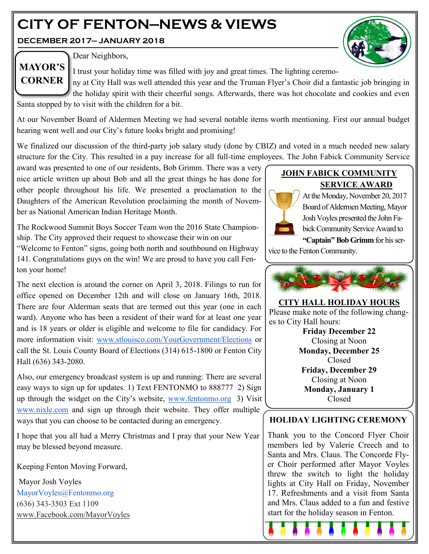# **CITY OF FENTON—NEWS & VIEWS**

**DECEMBER 2017— JANUARY 2018**





Dear Neighbors,

I trust your holiday time was filled with joy and great times. The lighting ceremo-

ny at City Hall was well attended this year and the Truman Flyer's Choir did a fantastic job bringing in the holiday spirit with their cheerful songs. Afterwards, there was hot chocolate and cookies and even

Santa stopped by to visit with the children for a bit.

At our November Board of Aldermen Meeting we had several notable items worth mentioning. First our annual budget hearing went well and our City's future looks bright and promising!

We finalized our discussion of the third-party job salary study (done by CBIZ) and voted in a much needed new salary structure for the City. This resulted in a pay increase for all full-time employees. The John Fabick Community Service

award was presented to one of our residents, Bob Grimm. There was a very nice article written up about Bob and all the great things he has done for other people throughout his life. We presented a proclamation to the Daughters of the American Revolution proclaiming the month of November as National American Indian Heritage Month.

The Rockwood Summit Boys Soccer Team won the 2016 State Championship. The City approved their request to showcase their win on our

"Welcome to Fenton" signs, going both north and southbound on Highway 141. Congratulations guys on the win! We are proud to have you call Fenton your home!

The next election is around the corner on April 3, 2018. Filings to run for office opened on December 12th and will close on January 16th, 2018. There are four Alderman seats that are termed out this year (one in each ward). Anyone who has been a resident of their ward for at least one year and is 18 years or older is eligible and welcome to file for candidacy. For more information visit: [www.stlouisco.com/YourGovernment/Elections](http://www.stlouisco.com/YourGovernment/Elections) or call the St. Louis County Board of Elections (314) 615-1800 or Fenton City Hall (636) 343-2080.

Also, our emergency broadcast system is up and running: There are several easy ways to sign up for updates. 1) Text FENTONMO to 888777 2) Sign up through the widget on the City's website, [www.fentonmo.org](http://www.fentonmo.org) 3) Visit [www.nixle.com](http://www.nixle.com) and sign up through their website. They offer multiple ways that you can choose to be contacted during an emergency.

I hope that you all had a Merry Christmas and I pray that your New Year may be blessed beyond measure.

Keeping Fenton Moving Forward,

Mayor Josh Voyles MayorVoyles@Fentonmo.org (636) 343-3503 Ext 1109 www.Facebook.com/MayorVoyles

## **JOHN FABICK COMMUNITY SERVICE AWARD**



At the Monday, November 20, 2017 Board of Aldermen Meeting, Mayor Josh Voyles presented the John Fabick Community Service Award to

**"Captain" Bob Grimm** for his service to the Fenton Community.



**CITY HALL HOLIDAY HOURS** Please make note of the following changes to City Hall hours: **Friday December 22**

Closing at Noon **Monday, December 25** Closed **Friday, December 29** Closing at Noon **Monday, January 1** Closed

## **HOLIDAY LIGHTING CEREMONY**

Thank you to the Concord Flyer Choir members led by Valerie Creech and to Santa and Mrs. Claus. The Concorde Flyer Choir performed after Mayor Voyles threw the switch to light the holiday lights at City Hall on Friday, November 17. Refreshments and a visit from Santa and Mrs. Claus added to a fun and festive start for the holiday season in Fenton.

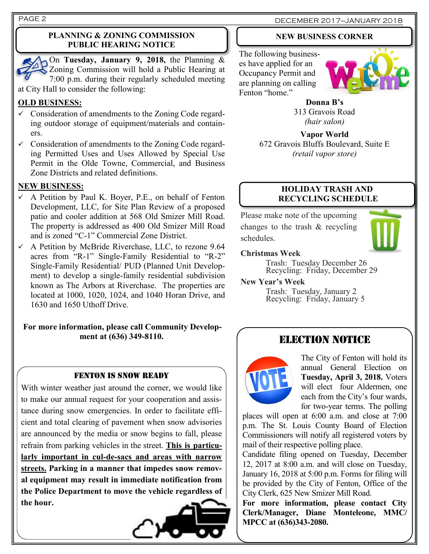#### **PLANNING & ZONING COMMISSION PUBLIC HEARING NOTICE**

On **Tuesday, January 9, 2018,** the Planning & Zoning Commission will hold a Public Hearing at 7:00 p.m. during their regularly scheduled meeting at City Hall to consider the following:

## **OLD BUSINESS:**

- $\checkmark$  Consideration of amendments to the Zoning Code regarding outdoor storage of equipment/materials and containers.
- ✓ Consideration of amendments to the Zoning Code regarding Permitted Uses and Uses Allowed by Special Use Permit in the Olde Towne, Commercial, and Business Zone Districts and related definitions.

## **NEW BUSINESS:**

- $\checkmark$  A Petition by Paul K. Boyer, P.E., on behalf of Fenton Development, LLC, for Site Plan Review of a proposed patio and cooler addition at 568 Old Smizer Mill Road. The property is addressed as 400 Old Smizer Mill Road and is zoned "C-1" Commercial Zone District.
- $\checkmark$  A Petition by McBride Riverchase, LLC, to rezone 9.64 acres from "R-1" Single-Family Residential to "R-2" Single-Family Residential/ PUD (Planned Unit Development) to develop a single-family residential subdivision known as The Arbors at Riverchase. The properties are located at 1000, 1020, 1024, and 1040 Horan Drive, and 1630 and 1650 Uthoff Drive.

## **For more information, please call Community Development at (636) 349-8110.**

## FENTON IS SNOW READY

With winter weather just around the corner, we would like to make our annual request for your cooperation and assistance during snow emergencies. In order to facilitate efficient and total clearing of pavement when snow advisories are announced by the media or snow begins to fall, please refrain from parking vehicles in the street. **This is particularly important in cul-de-sacs and areas with narrow streets. Parking in a manner that impedes snow removal equipment may result in immediate notification from the Police Department to move the vehicle regardless of the hour.**



## PAGE 2 DECEMBER 2017-JANUARY 2018

## **NEW BUSINESS CORNER**

The following businesses have applied for an Occupancy Permit and are planning on calling Fenton "home."



**Donna B's** 313 Gravois Road *(hair salon)*

**Vapor World** 672 Gravois Bluffs Boulevard, Suite E *(retail vapor store)*

#### **HOLIDAY TRASH AND RECYCLING SCHEDULE**

Please make note of the upcoming changes to the trash & recycling schedules.



#### **Christmas Week**

Trash: Tuesday December 26 Recycling: Friday, December 29

#### **New Year's Week**

Trash: Tuesday, January 2 Recycling: Friday, January 5

## ELECTION NOTICE



The City of Fenton will hold its annual General Election on **Tuesday, April 3, 2018.** Voters will elect four Aldermen, one each from the City's four wards, for two-year terms. The polling

places will open at 6:00 a.m. and close at 7:00 p.m. The St. Louis County Board of Election Commissioners will notify all registered voters by mail of their respective polling place.

Candidate filing opened on Tuesday, December 12, 2017 at 8:00 a.m. and will close on Tuesday, January 16, 2018 at 5:00 p.m. Forms for filing will be provided by the City of Fenton, Office of the City Clerk, 625 New Smizer Mill Road.

**For more information, please contact City Clerk/Manager, Diane Monteleone, MMC/ MPCC at (636)343-2080.**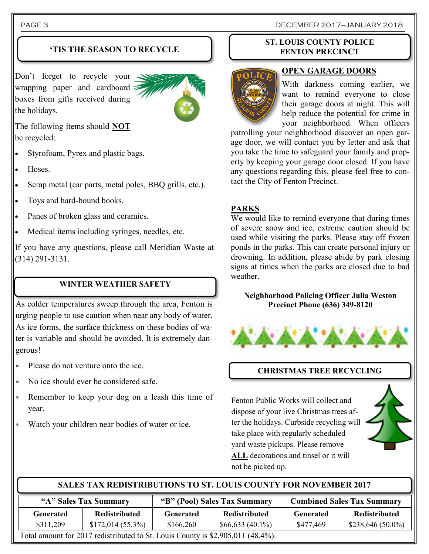## **'TIS THE SEASON TO RECYCLE**

Don't forget to recycle your wrapping paper and cardboard boxes from gifts received during the holidays.



The following items should **NOT** be recycled:

- Styrofoam, Pyrex and plastic bags.
- Hoses.
- Scrap metal (car parts, metal poles, BBQ grills, etc.).
- Toys and hard-bound books.
- Panes of broken glass and ceramics.
- Medical items including syringes, needles, etc.

If you have any questions, please call Meridian Waste at (314) 291-3131.

## **WINTER WEATHER SAFETY**

As colder temperatures sweep through the area, Fenton is urging people to use caution when near any body of water. As ice forms, the surface thickness on these bodies of water is variable and should be avoided. It is extremely dangerous!

- Please do not venture onto the ice.
- No ice should ever be considered safe.
- Remember to keep your dog on a leash this time of year.
- Watch your children near bodies of water or ice.

#### **ST. LOUIS COUNTY POLICE FENTON PRECINCT**



## **OPEN GARAGE DOORS**

With darkness coming earlier, we want to remind everyone to close their garage doors at night. This will help reduce the potential for crime in your neighborhood. When officers

patrolling your neighborhood discover an open garage door, we will contact you by letter and ask that you take the time to safeguard your family and property by keeping your garage door closed. If you have any questions regarding this, please feel free to contact the City of Fenton Precinct.

## **PARKS**

We would like to remind everyone that during times of severe snow and ice, extreme caution should be used while visiting the parks. Please stay off frozen ponds in the parks. This can create personal injury or drowning. In addition, please abide by park closing signs at times when the parks are closed due to bad weather.

#### **Neighborhood Policing Officer Julia Weston Precinct Phone (636) 349-8120**



## **CHRISTMAS TREE RECYCLING**

Fenton Public Works will collect and dispose of your live Christmas trees after the holidays. Curbside recycling will take place with regularly scheduled yard waste pickups. Please remove **ALL** decorations and tinsel or it will not be picked up.



#### **SALES TAX REDISTRIBUTIONS TO ST. LOUIS COUNTY FOR NOVEMBER 2017**

| "A" Sales Tax Summary                                                           |                      | "B" (Pool) Sales Tax Summary |                   | <b>Combined Sales Tax Summary</b> |                      |  |
|---------------------------------------------------------------------------------|----------------------|------------------------------|-------------------|-----------------------------------|----------------------|--|
| <b>Generated</b>                                                                | <b>Redistributed</b> | Generated                    | Redistributed     | Generated                         | <b>Redistributed</b> |  |
| \$311,209                                                                       | $$172,014(55.3\%)$   | \$166,260                    | $$66,633(40.1\%)$ | \$477,469                         | $$238,646(50.0\%)$   |  |
| Total amount for 2017 redistributed to St. Louis County is \$2,905,011 (48.4%). |                      |                              |                   |                                   |                      |  |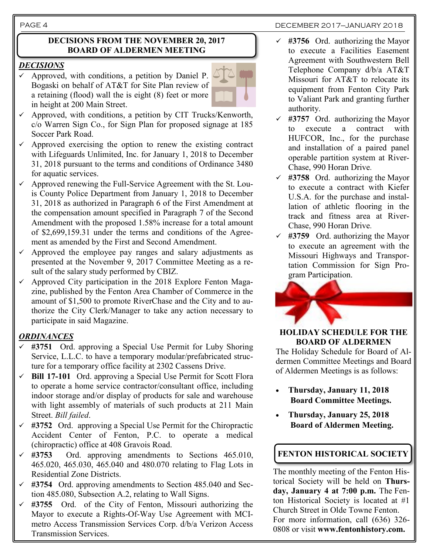#### PAGE 4 DECEMBER 2017-JANUARY 2018

#### **DECISIONS FROM THE NOVEMBER 20, 2017 BOARD OF ALDERMEN MEETING**

#### *DECISIONS*

 $\checkmark$  Approved, with conditions, a petition by Daniel P. Bogaski on behalf of AT&T for Site Plan review of a retaining (flood) wall the is eight (8) feet or more in height at 200 Main Street.



- $\checkmark$  Approved, with conditions, a petition by CIT Trucks/Kenworth, c/o Warren Sign Co., for Sign Plan for proposed signage at 185 Soccer Park Road.
- $\checkmark$  Approved exercising the option to renew the existing contract with Lifeguards Unlimited, Inc. for January 1, 2018 to December 31, 2018 pursuant to the terms and conditions of Ordinance 3480 for aquatic services.
- Approved renewing the Full-Service Agreement with the St. Louis County Police Department from January 1, 2018 to December 31, 2018 as authorized in Paragraph 6 of the First Amendment at the compensation amount specified in Paragraph 7 of the Second Amendment with the proposed 1.58% increase for a total amount of \$2,699,159.31 under the terms and conditions of the Agreement as amended by the First and Second Amendment.
- $\checkmark$  Approved the employee pay ranges and salary adjustments as presented at the November 9, 2017 Committee Meeting as a result of the salary study performed by CBIZ.
- $\checkmark$  Approved City participation in the 2018 Explore Fenton Magazine, published by the Fenton Area Chamber of Commerce in the amount of \$1,500 to promote RiverChase and the City and to authorize the City Clerk/Manager to take any action necessary to participate in said Magazine.

## *ORDINANCES*

- #3751 Ord. approving a Special Use Permit for Luby Shoring Service, L.L.C. to have a temporary modular/prefabricated structure for a temporary office facility at 2302 Cassens Drive.
- **Bill 17-101** Ord. approving a Special Use Permit for Scott Flora to operate a home service contractor/consultant office, including indoor storage and/or display of products for sale and warehouse with light assembly of materials of such products at 211 Main Street. *Bill failed*.
- ✓ **#3752** Ord. approving a Special Use Permit for the Chiropractic Accident Center of Fenton, P.C. to operate a medical (chiropractic) office at 408 Gravois Road.
- ✓ **#3753** Ord. approving amendments to Sections 465.010, 465.020, 465.030, 465.040 and 480.070 relating to Flag Lots in Residential Zone Districts.
- ✓ **#3754** Ord. approving amendments to Section 485.040 and Section 485.080, Subsection A.2, relating to Wall Signs.
- ✓ **#3755** Ord. of the City of Fenton, Missouri authorizing the Mayor to execute a Rights-Of-Way Use Agreement with MCImetro Access Transmission Services Corp. d/b/a Verizon Access Transmission Services.
- ✓ **#3756** Ord. authorizing the Mayor to execute a Facilities Easement Agreement with Southwestern Bell Telephone Company d/b/a AT&T Missouri for AT&T to relocate its equipment from Fenton City Park to Valiant Park and granting further authority.
- $\checkmark$  #3757 Ord. authorizing the Mayor to execute a contract with HUFCOR, Inc., for the purchase and installation of a paired panel operable partition system at River-Chase, 990 Horan Drive.
- $\checkmark$  #3758 Ord. authorizing the Mayor to execute a contract with Kiefer U.S.A. for the purchase and installation of athletic flooring in the track and fitness area at River-Chase, 990 Horan Drive.
- $\checkmark$  #3759 Ord. authorizing the Mayor to execute an agreement with the Missouri Highways and Transportation Commission for Sign Program Participation.



**HOLIDAY SCHEDULE FOR THE BOARD OF ALDERMEN** 

The Holiday Schedule for Board of Aldermen Committee Meetings and Board of Aldermen Meetings is as follows:

- **Thursday, January 11, 2018 Board Committee Meetings.**
- **Thursday, January 25, 2018 Board of Aldermen Meeting.**

## **FENTON HISTORICAL SOCIETY**

The monthly meeting of the Fenton Historical Society will be held on **Thursday, January 4 at 7:00 p.m.** The Fenton Historical Society is located at #1 Church Street in Olde Towne Fenton. For more information, call (636) 326- 0808 or visit **www.fentonhistory.com.**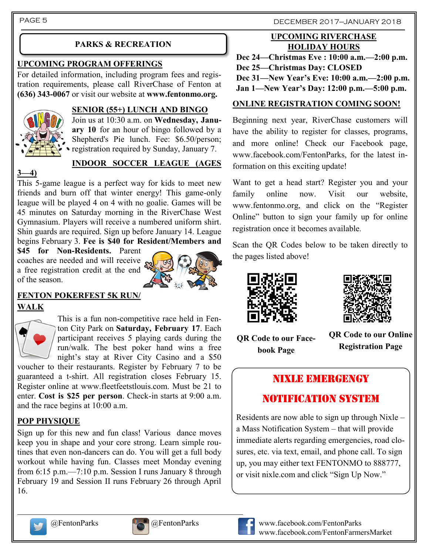PAGE 5 DECEMBER 2017-JANUARY 2018

## **PARKS & RECREATION**

## **UPCOMING PROGRAM OFFERINGS**

For detailed information, including program fees and registration requirements, please call RiverChase of Fenton at **(636) 343-0067** or visit our website at **www.fentonmo.org.**



#### **SENIOR (55+) LUNCH AND BINGO**

Join us at 10:30 a.m. on **Wednesday, January 10** for an hour of bingo followed by a Shepherd's Pie lunch. Fee: \$6.50/person; registration required by Sunday, January 7.

## **INDOOR SOCCER LEAGUE (AGES**

**3—4)**

This 5-game league is a perfect way for kids to meet new friends and burn off that winter energy! This game-only league will be played 4 on 4 with no goalie. Games will be 45 minutes on Saturday morning in the RiverChase West Gymnasium. Players will receive a numbered uniform shirt. Shin guards are required. Sign up before January 14. League begins February 3. **Fee is \$40 for Resident/Members and** 

**\$45 for Non-Residents.** Parent coaches are needed and will receive a free registration credit at the end of the season.



## **FENTON POKERFEST 5K RUN/ WALK**



This is a fun non-competitive race held in Fenton City Park on **Saturday, February 17**. Each participant receives 5 playing cards during the run/walk. The best poker hand wins a free night's stay at River City Casino and a \$50 voucher to their restaurants. Register by February 7 to be

guaranteed a t-shirt. All registration closes February 15. Register online at www.fleetfeetstlouis.com. Must be 21 to enter. **Cost is \$25 per person**. Check-in starts at 9:00 a.m. and the race begins at 10:00 a.m.

## **POP PHYSIQUE**

Sign up for this new and fun class! Various dance moves keep you in shape and your core strong. Learn simple routines that even non-dancers can do. You will get a full body workout while having fun. Classes meet Monday evening from 6:15 p.m.—7:10 p.m. Session I runs January 8 through February 19 and Session II runs February 26 through April 16.

## **UPCOMING RIVERCHASE HOLIDAY HOURS**

**Dec 24—Christmas Eve : 10:00 a.m.—2:00 p.m. Dec 25—Christmas Day: CLOSED**

**Dec 31—New Year's Eve: 10:00 a.m.—2:00 p.m.**

**Jan 1—New Year's Day: 12:00 p.m.—5:00 p.m.**

## **ONLINE REGISTRATION COMING SOON!**

Beginning next year, RiverChase customers will have the ability to register for classes, programs, and more online! Check our Facebook page, www.facebook.com/FentonParks, for the latest information on this exciting update!

Want to get a head start? Register you and your family online now. Visit our website, www.fentonmo.org, and click on the "Register Online" button to sign your family up for online registration once it becomes available.

Scan the QR Codes below to be taken directly to the pages listed above!





**QR Code to our Facebook Page**

**QR Code to our Online Registration Page**

## NIXLE EMERGENGY

## NOTIFICATION SYSTEM

Residents are now able to sign up through Nixle – a Mass Notification System – that will provide immediate alerts regarding emergencies, road closures, etc. via text, email, and phone call. To sign up, you may either text FENTONMO to 888777, or visit nixle.com and click "Sign Up Now."